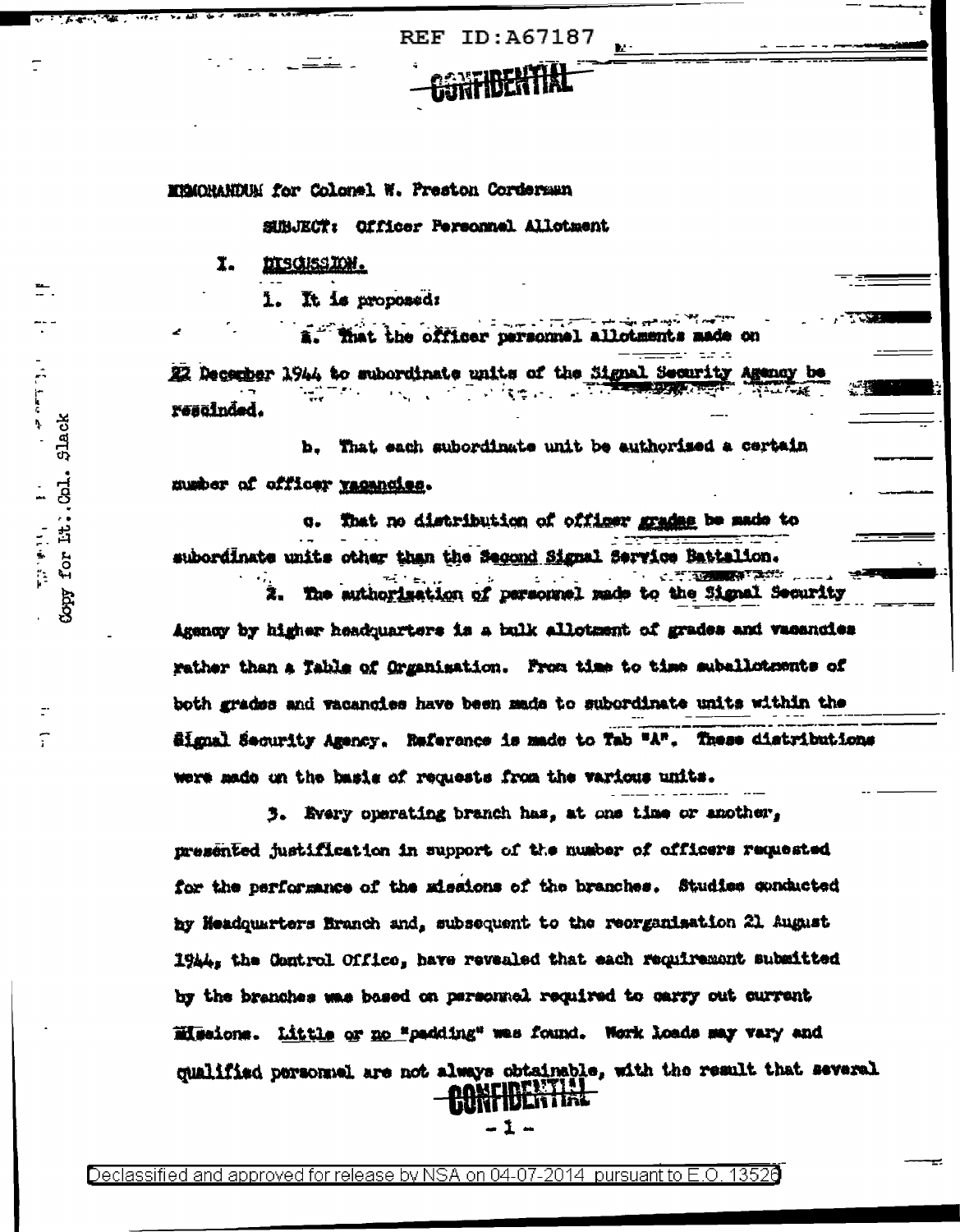**REF ID: A67187** 

MEMORANDUM for Colonel W. Preston Cordersan

SUBJECT: Officer Personnel Allotment

I. DISCUSSION.

 $\frac{1}{2} \int_{0}^{2\pi} \int_{0}^{2\pi} \left( \frac{1}{2} \, \frac{1}{2} \, \frac{1}{2} \, \frac{1}{2} \, \frac{1}{2} \, \frac{1}{2} \, \frac{1}{2} \, \frac{1}{2} \, \frac{1}{2} \, \frac{1}{2} \, \frac{1}{2} \, \frac{1}{2} \, \frac{1}{2} \, \frac{1}{2} \, \frac{1}{2} \, \frac{1}{2} \, \frac{1}{2} \, \frac{1}{2} \, \frac{1}{2} \, \frac{1}{2} \, \frac{1}{2} \, \$ 

for Lt. Col. Slack

 $C$ COPT

1. 电子管

1. It is proposed:

a. That the officer personnel allotments 22 December 1944 to subordinate units of the Signal Security Agency be rescinded.

b. That each subordinate unit be authorized a certain number of officer racencies.

g. That no distribution of officer grades be made to subordinate units other than the Segond Signal Service Battalion.

The authorization of personnel made to the Signal Security 2. Agency by higher headquarters is a bulk allotzent of grades and vacancies rather than a Table of Organisation. From time to time subslictements of both grades and vacanoies have been made to subordinate units within the Signal Security Agency. Reference is made to Tab "A". These distributions were made on the basis of requests from the various units.

3. Every operating branch has, at one time or another, mresented justification in support of the number of officers requested for the performance of the missions of the branches. Studies conducted by Headquarters Branch and, subsequent to the reorganisation 21 August 1944, the Control Office, have revealed that each requirement submitted by the branches was based on personnel required to carry out current **Missions.** Little or no "padding" was found. Work loads may vary and qualified personsel are not always obtainable, with the result that several **BONFIDEN HAL** 

.1.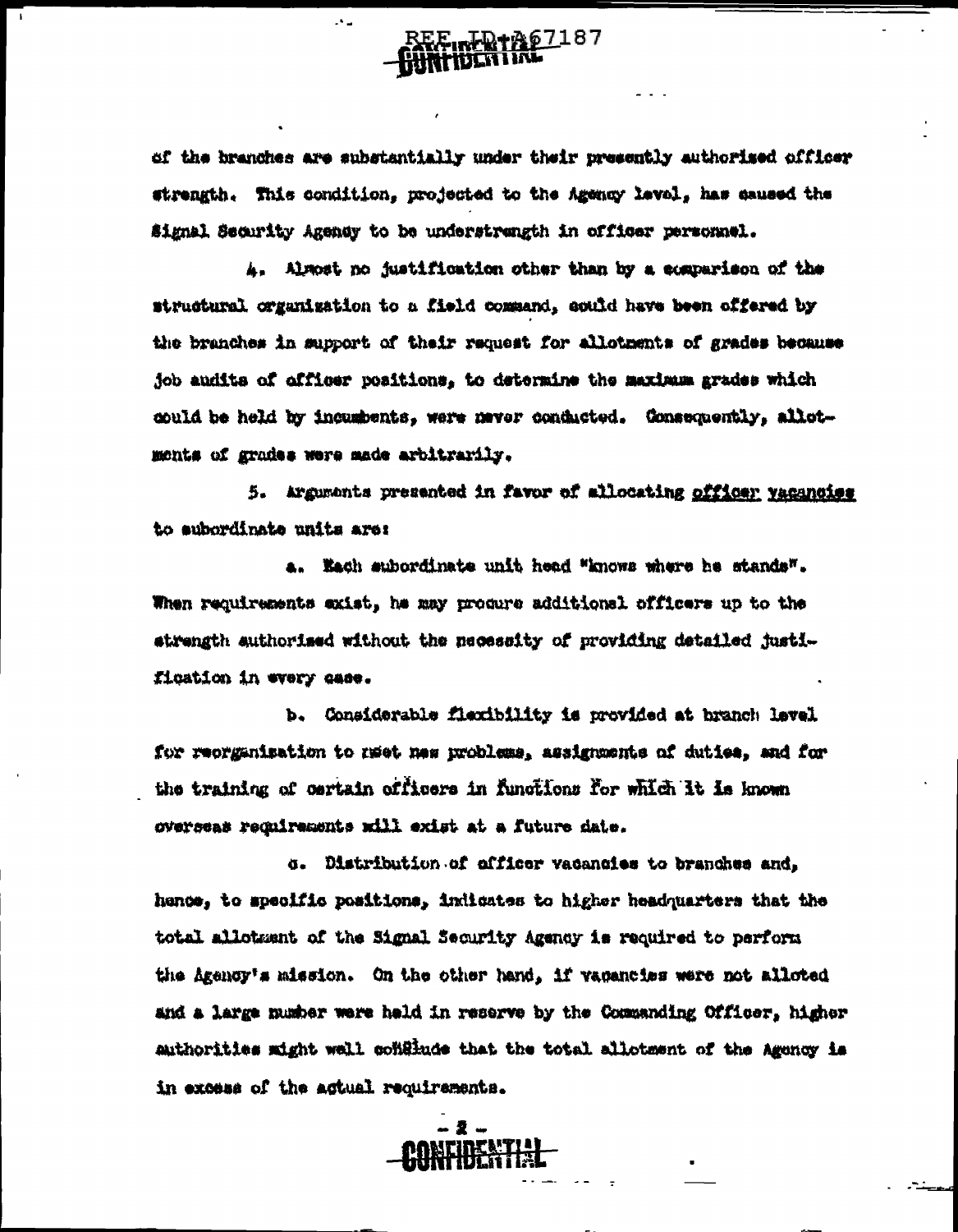

 $\mathcal{A}$  .

of the branches are substantially under their presently authorized officer strength. This condition, projected to the Agency level, has saused the Signal Security Agensy to be understrangth in officer personnel.

A. Almost no justification other than by a comparison of the structural organization to a field command, could have been offered by the branches in support of their request for allotments of grades because job audits of officer positions, to determine the maximum grades which could be held by incumbents, were never conducted. Consequently, allotments of grades were made arbitrarily.

5. Arguments presented in favor of allocating officer yacancies to subordinate units are:

a. Each subordinate unit head "knows where he stands". When requirements exist, he may produre additional officers up to the atrength authorized without the necessity of providing detailed justification in every case.

b. Considerable flexibility is provided at branch level for reorganisation to maet new problems, assignments of duties, and for the training of certain officers in functions for which it is known overseas reculrements will exist at a future date.

o. Distribution of officer vacancies to branches and. hence, to specific positions, indicates to higher headquarters that the total allotment of the Signal Security Agency is required to perform the Agenor's mission. On the other hand, if vacancies were not alloted and a large number were held in reserve by the Commanding Officer, higher authorities might well conflinde that the total allotment of the Agency is in excess of the actual requirements.

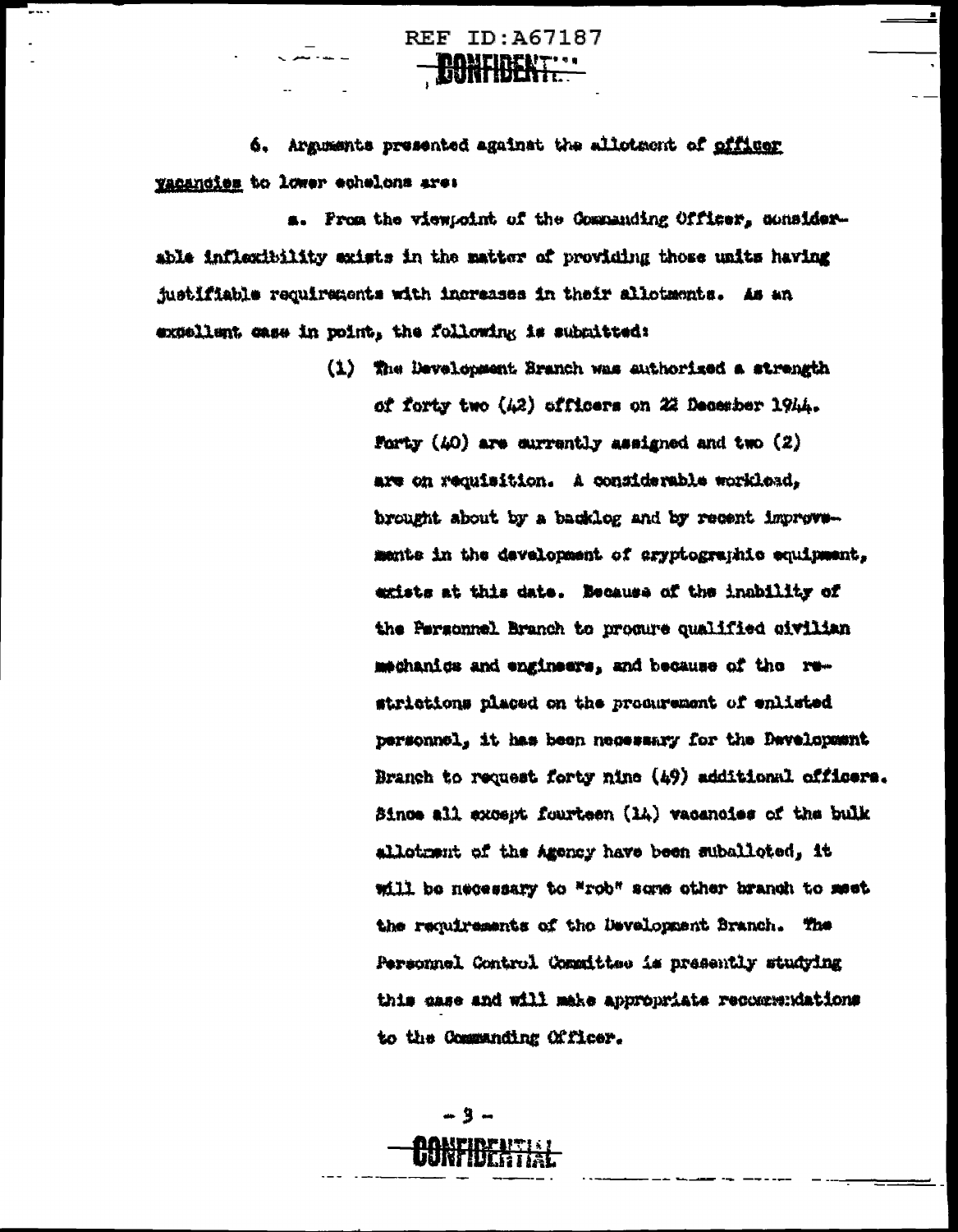**REF ID: A67187** 

 $\blacksquare$ 

6. Arguments presented against the allotaent of officer yacancies to lower echelons are:

a. From the viewpoint of the Commanding Officer, considerable inflexibility exists in the matter of providing those units having justifiable requirements with increases in their allotments. As an excellent case in point, the following is submitted:

> (1) The Development Branch was authorized a strength of forty two (42) officers on 22 December 1944. Forty  $(40)$  are currently assigned and two  $(2)$ are on requisition. A considerable workload, brought about by a backlog and by recent improvements in the development of aryptographic equipment, exists at this date. Because of the inability of the Personnel Branch to procure qualified civilian mechanics and engineers, and because of the restrictions placed on the producement of enlisted personnel, it has been necessary for the Davelopment Branch to request forty nine (49) additional officers. Since all except fourteen (14) vacancies of the bulk allotrænt of the Agency have been suballoted, it will be necessary to "rob" some other branch to meet the requirements of the Development Branch. The Personnel Control Committee is presently studying this case and will make appropriate recommendations to the Commanding Officer.

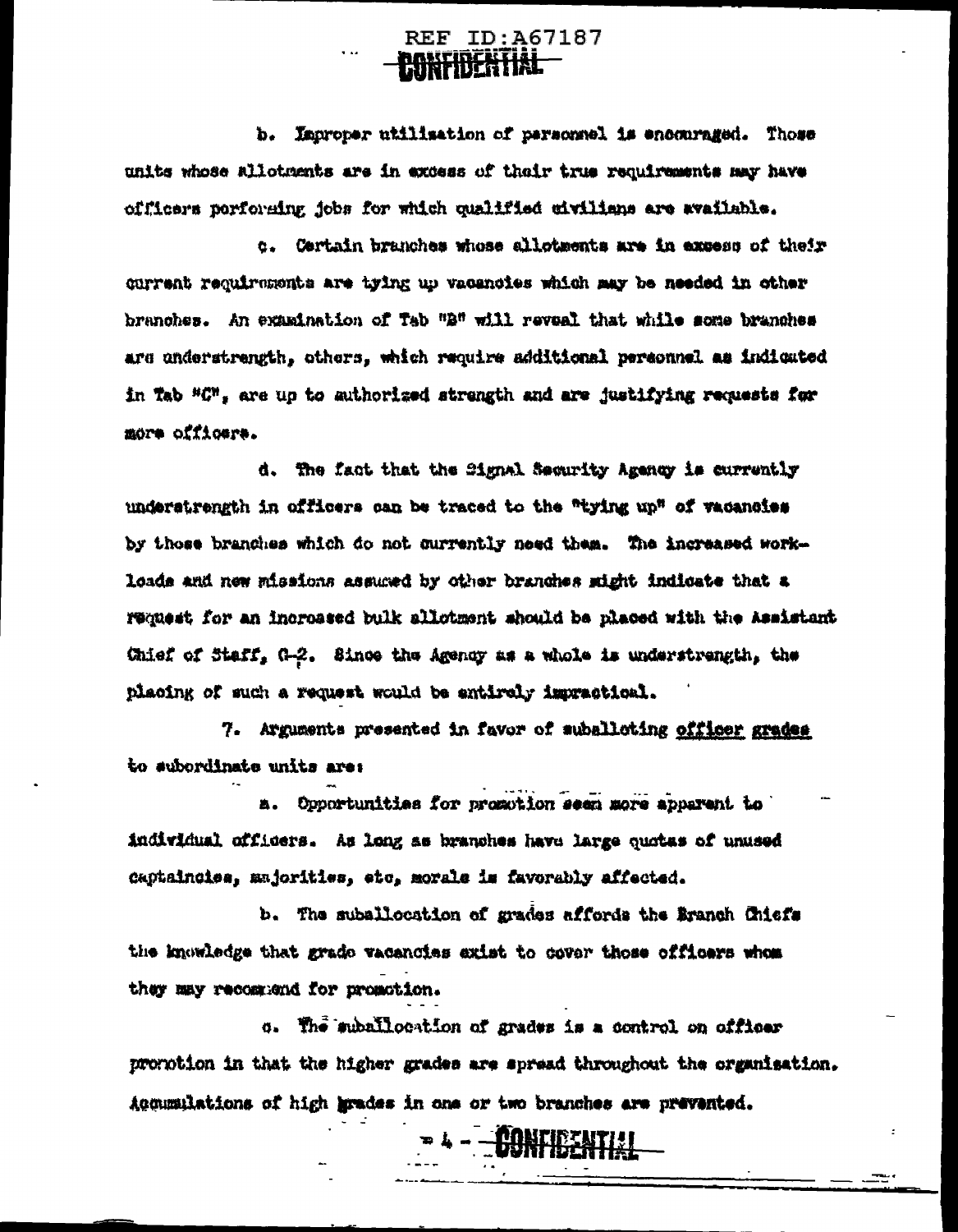**REF ID: A67187 PANTIBERTIAL** 

b. Improper utilisation of personnel is encouraged. Those units whose allotments are in excess of thair true requirements may have cfficers porforming jobs for which qualified civilians are available.

c. Certain branches whose allotments are in excess of their current requirements are tying up vacancies which may be needed in other branches. An examination of Tab "B" will reveal that while some branches are understrength, others, which require additional personnel as indicated in Tab "C", are up to authorized strength and are justifying requests for more officere.

d. The fact that the Signal Security Agency is currently understrength in officers can be traced to the "tying up" of vacancies by those branches which do not currently need them. The increased workloads and new missions assured by other branches stight indicate that a request for an increased bulk allotment should be placed with the Assistant Chief of Staff, G-2. Since the Agency as a whole is understrength, the placing of such a request would be entirely impractical.

7. Arguments presented in favor of suballoting officer grades to subordinate units are:

a. Opportunities for promotion seen more apparent to individual officers. As long as branches have large quotas of unused captaincies, majorities, etc, morale is favorably affected.

b. The suballocation of grades affords the Branch Chiefs the knowledge that grado vacancies exist to cover those officers whom they may recommend for promotion.

5. The suballocation of grades is a control on officer promotion in that the higher grades are spread throughout the organisation. Accumulations of high grades in one or two branches are prevented.

**.** - <del>Jonfielntia</del>l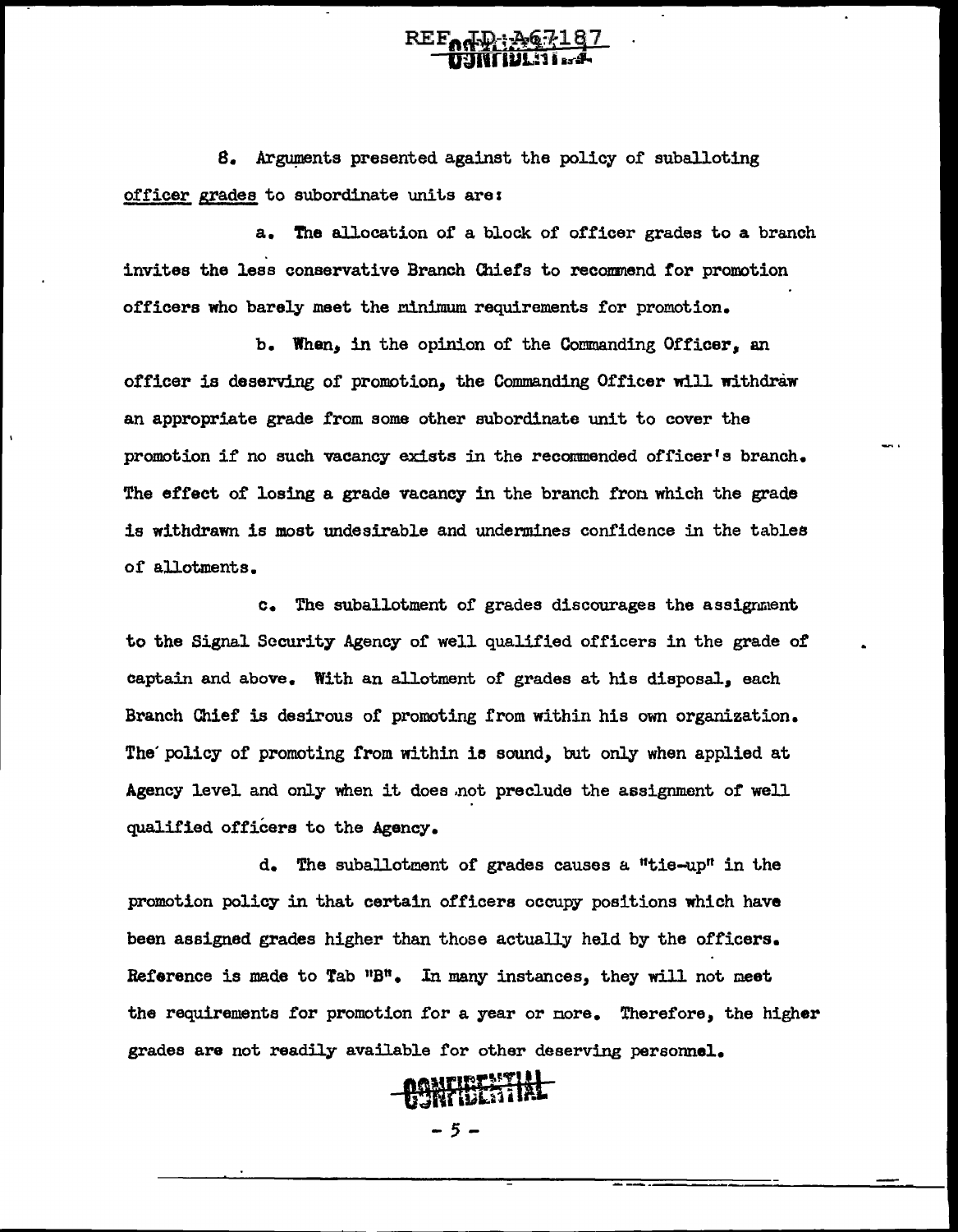## REF<sub>od</sub>D: 267187

8. Arguments presented against the policy of suballoting officer grades to subordinate units arez

a. The allocation oi' a block of officer grades to a branch invites the leas conservative Branch Chiefs to reconmend for promotion officers who barely meet the minimum requirements for promotion.

b. When, in the opinion of the Commanding Officer, an officer is deserving of promotion, the Commanding Officer will withdraw an appropriate grade from some other subordinate unit to cover the promotion if no such vacancy exists in the recommended officer's branch. The effect of losing a grade vacancy in the branch from which the grade is withdrawn is moat undesirable and undermines confidence in the tables of allotments.

c. The suballotment of grades discourages the assignment to the Signal Security Agency of well qualified officers in the grade of captain and above. With an allotment of grades at his disposal, each Branch Chief is desirous of promoting from within his own organization. The' policy of promoting from within ie sound, but only when applied at Agency level and only when it does .not preclude the assignment *of* well qualified officers to the Agency.

d. The suballotment of grades causes a "tie-up" in the promotion policy in that certain officers occupy positions which have been assigned grades higher than those actually held by the officers. Reference is made to Tab  $"B"$ . In many instances, they will not meet the requirements for promotion for a year or nore. Therefore, the higher grades are not readily available for other deserving personnel.



 $-5-$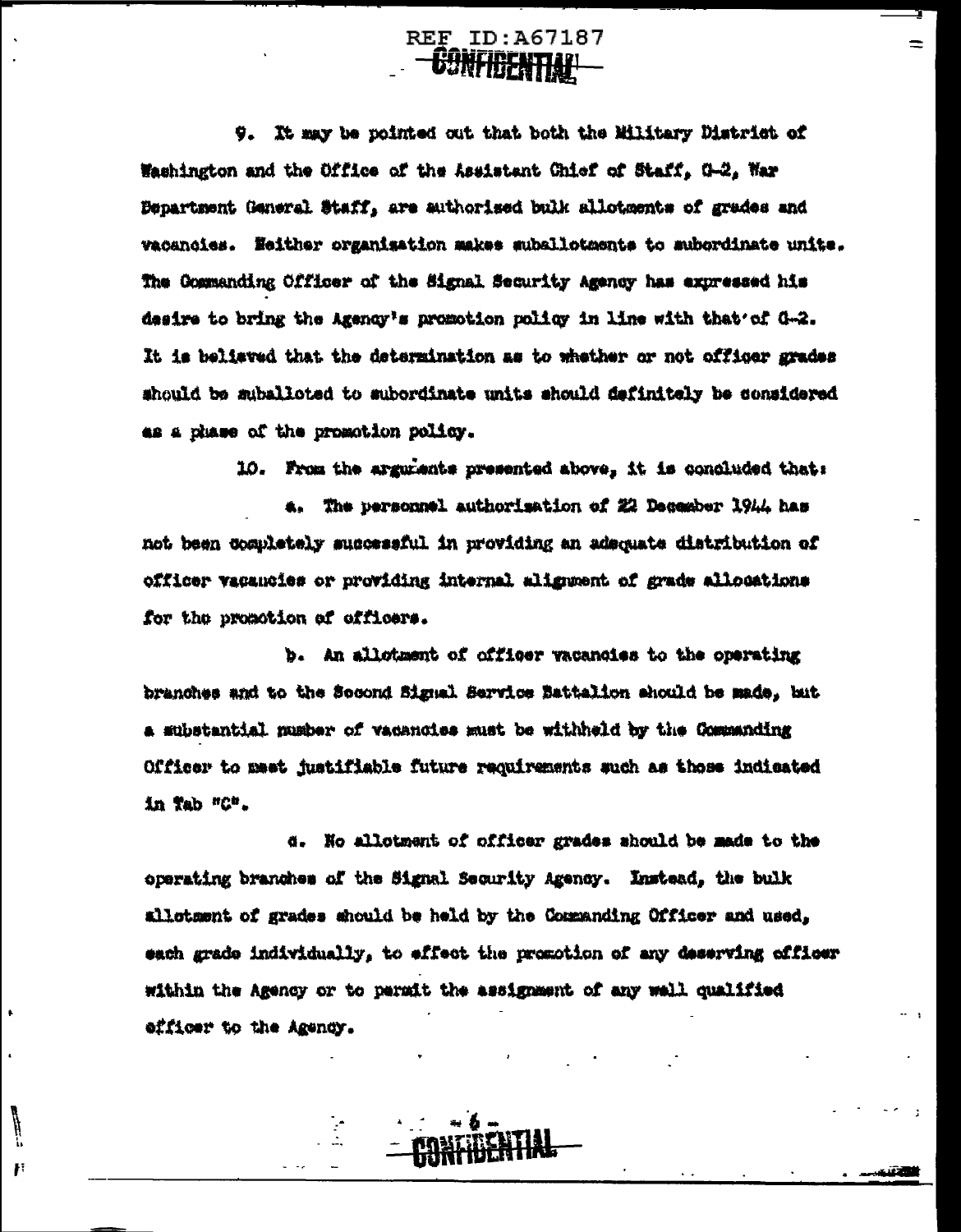**REF ID: A67187 Ganfigential** 

 $\equiv$ 

9. It may be pointed out that both the Military District of Washington and the Office of the Assistant Chief of Staff, G-2, War Department General Staff, are authorised bulk allotments of grades and vacancies. Heither organisation makes suballotments to subordinate units. The Commanding Officer of the Signal Security Agency has expressed his desire to bring the Agency's promotion policy in line with that'of G-2. It is beliaved that the determination as to whether or not officer grades should be suballoted to subordinate units should definitely be considered as a phase of the promotion policy.

10. From the arguments presented above, it is concluded that:

4. The personnel authorisation of 22 December 1944 has not been completely successful in providing an adsquate distribution of officer vacancies or providing internal alignment of grade allocations for the promotion of officers.

b. An allotment of officer vacancies to the operating branches and to the Second Signal Service Battalion should be made, but a substantial nusber of vacancies must be withheld by the Communding Officer to meet justifiable future requirements such as those indicated in Tab "C".

d. No allotment of officer grades should be made to the operating branches of the Signal Security Agency. Instead, the bulk allotsent of grades should be held by the Commanding Officer and used. each grade individually, to effect the promotion of any deserving officer within the Agency or to parmit the assignment of any well qualified efficer to the Agency.

F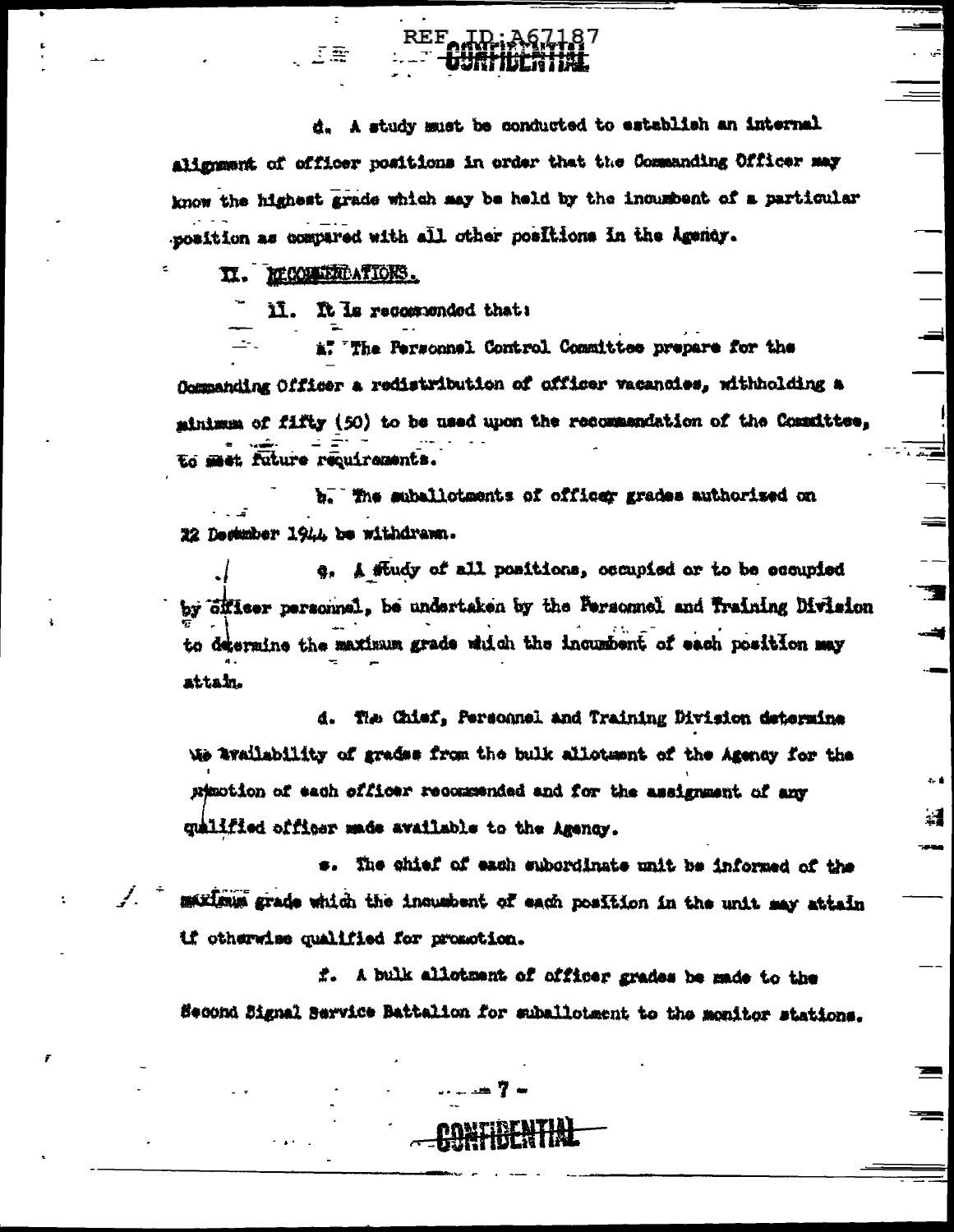d. A study must be conducted to establish an internal alignment of officer positions in order that the Commanding Officer may know the highest grade which may be held by the incumbent of a particular position as compared with all other positions in the Agency.

#### II. MCONTRATIONS.

Tæ

u. It is recommended that:

REF.

a. The Personnel Control Committee prepare for the Commanding Officer a redistribution of officer vacancies, withholding a minimum of fifty (50) to be used upon the recommendation of the Committee, to meet future requirements.

b. The suballotments of officer grades authorized on 22 Destuber 1944 be withdrawn.

e. A fludy of all positions, occupied or to be ecoupied by Sillser personnel, be undertaken by the Personnel and Training Division to determine the maximum grade which the incumbent of each position may attain.

E

 $\Rightarrow$ 

 $\sim 0$ 

4

d. The Chief, Personnel and Training Division determine We availability of grades from the bulk alloteent of the Agency for the nimotion of each officer recommended and for the assignment of any guilfied officer made available to the Agency.

s. The chief of each subordinate unit be informed of the maximum grade which the inquabent of each position in the unit may attain if otherwise qualified for promotion.

f. A bulk allotment of officer grades be made to the Second Bignal Barvice Battalion for suballotment to the monitor stations.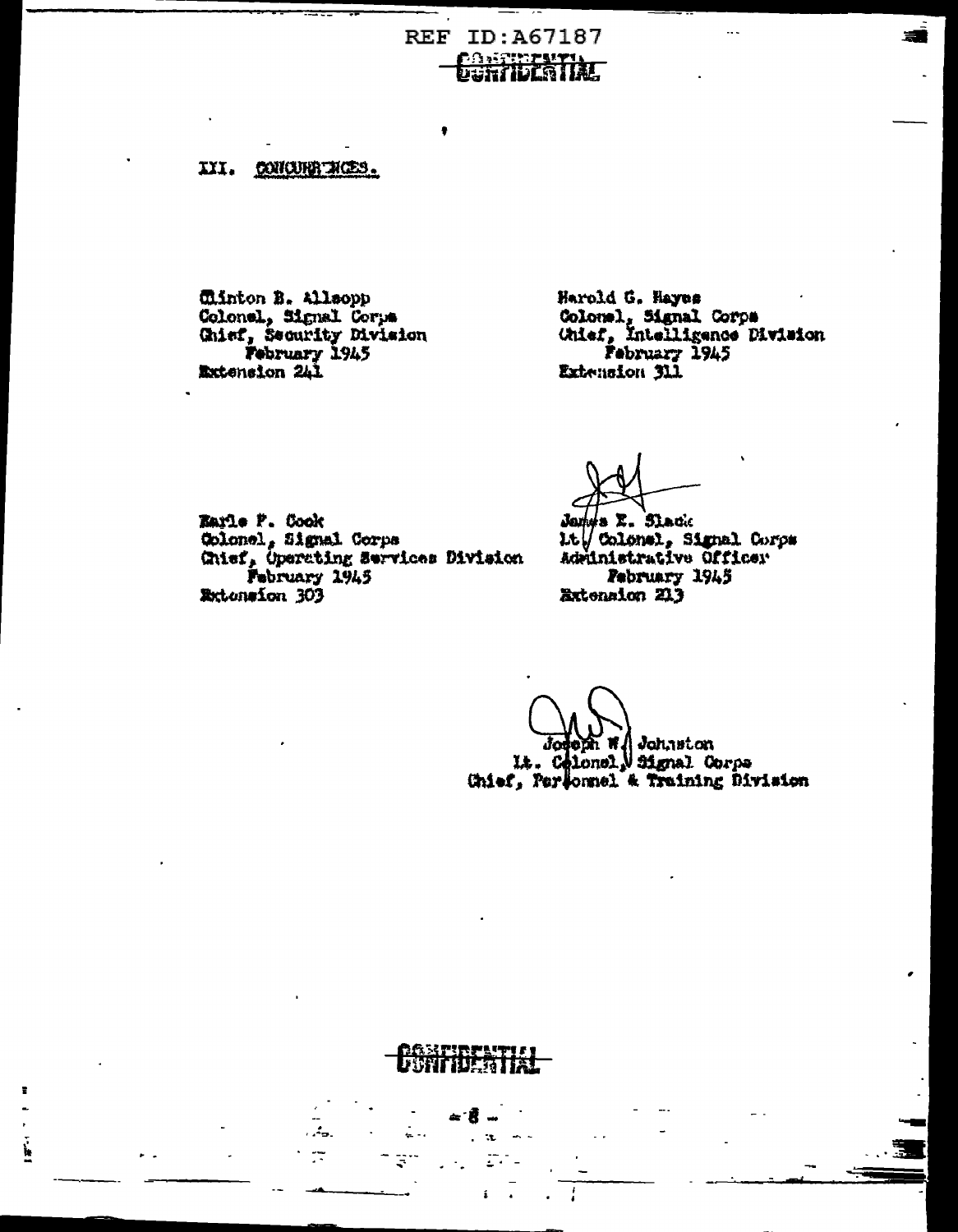**REF ID: A67187 DANTELLY IN THE TELEVISION** 

III. CONCURRINCES.

Clinton B. Allsopp Colonel, Signal Corps<br>Colonel, Signal Corps<br>Chief, Security Division<br>February 1945<br>Extension 241

 $\frac{1}{2}$ 

Harold G. Hayes Colonel, Signal Corps<br>Chief, Intelligence Division<br>February 1945 Extension 311

Karle P. Cook Golonel, Signal Corps<br>Ghief, Operating Services Division<br>February 1945 **Extension 303** 

James E. Slack 1.t / Colonal, Signal Corps Adrinistrative Officer February 1945 **Extension 213** 

Johnston ıΙo It. Celonel, Signal Corps<br>Chief, Personnel & Training Division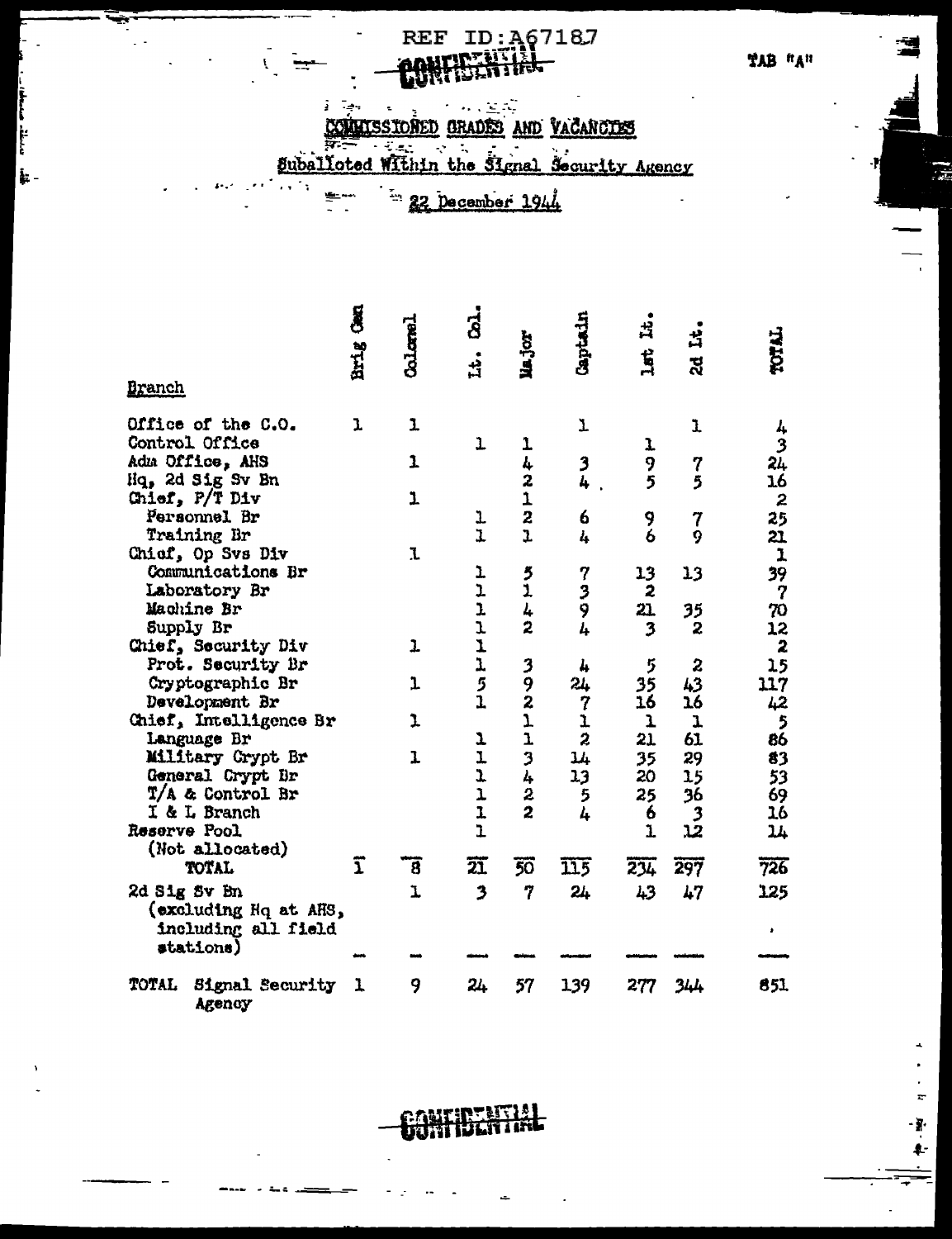# REF ID: A67187

r,

ţ.

COMMISSIONED GRADES AND VACANOTIES

 $\tilde{\zeta}$ 

بدينية ممطا

।<br>‡⊱-

ىپ

÷

Suballoted Within the Signal Security Agency

22 December 1944

|                                    | g                       | $\text{Coker}$ | <u>ය්</u>               |                         | Captain                   | ᇽ                       | ᅽ                |                          |
|------------------------------------|-------------------------|----------------|-------------------------|-------------------------|---------------------------|-------------------------|------------------|--------------------------|
|                                    | Brig                    |                | .<br>부                  | Major                   |                           | $\mathbf{H}$            | ಸ್ಥ              | TOTAL                    |
| <b>Branch</b>                      |                         |                |                         |                         |                           |                         |                  |                          |
| Office of the C.O.                 | ı                       | ı              |                         |                         | T                         |                         | ı                |                          |
| Control Office                     |                         |                | $\mathbf{I}$            | 1                       |                           | ı                       |                  | 4<br>3                   |
| Adm Office, AHS                    |                         | $\overline{1}$ |                         | 4                       | 3                         | 9                       | 7                | 24                       |
| Hq, 2d Sig Sv Bn                   |                         |                |                         | $\overline{\mathbf{c}}$ | 4                         | 5                       | 5                | 16                       |
| Chief, P/T Div                     |                         | ı              |                         | 1                       |                           |                         |                  | $\boldsymbol{z}$         |
| Personnel Br                       |                         |                | ı                       | $\overline{\mathbf{c}}$ | 6                         | 9                       | 7                | 25                       |
| Training Br                        |                         |                | $\overline{1}$          | $\overline{1}$          | 4                         | $\ddot{\mathbf{6}}$     | 9                | 21.                      |
| Chief, Op Svs Div                  |                         | J.             |                         |                         |                           |                         |                  | ${\bf 1}$                |
| Communications Br                  |                         |                | ı                       | $\frac{5}{1}$           | 7                         | 13                      | 13               | 39                       |
| Laboratory Br                      |                         |                |                         |                         | ر<br>9                    | $\overline{\mathbf{z}}$ |                  | $\boldsymbol{7}$         |
| Machine Br                         |                         |                |                         | 4                       |                           | 21.                     | 35               | 70                       |
| Supply Br                          |                         |                |                         | $\overline{z}$          | 4                         | $\overline{\mathbf{3}}$ | 2                | 12                       |
| Chief, Security Div                |                         | $\mathbf{I}$   | ユユユエエクエ                 |                         |                           |                         |                  | $\boldsymbol{z}$         |
| Prot. Security Br                  |                         |                |                         |                         | 4                         | 5                       | $\boldsymbol{z}$ | 15                       |
| Cryptographic Br                   |                         | J              |                         | 392                     | 24                        | 35                      | 43               | 117                      |
| Development Br                     |                         |                |                         |                         | $\overline{7}$            | 16                      | 16               | 42                       |
| Chief, Intelligence Br             |                         | 1              |                         | $\mathbf{I}$            |                           | ı                       | 1                | $\overline{\phantom{a}}$ |
| Language Br                        |                         |                | 1                       | $\mathbf{I}$            | $\frac{1}{2}$             | 21                      | 61               | 86                       |
| Military Crypt Br                  |                         | 1              | $\mathbf{I}$            | $\overline{\mathbf{3}}$ | 14                        | 35                      | 29               | 83                       |
| General Crypt Dr                   |                         |                | $\mathbf{L}$            | $\mathbf{l}_+$          | 13                        | 20                      | 15               | 53                       |
| T/A & Control Br                   |                         |                | $\mathbf{I}$            | $\overline{c}$          | 5                         | 25                      | 36               | 69                       |
| I & L Branch                       |                         |                | $\overline{1}$          | 2                       | 4                         | 6                       |                  | 16                       |
| Reserve Pool                       |                         |                | $\overline{1}$          |                         |                           | $\mathbf{I}$            | و<br>چ           | 74                       |
| (Not allocated)                    |                         |                |                         |                         |                           |                         |                  |                          |
| <b>TOTAL</b>                       | $\overline{\mathbf{1}}$ | ह              | 豇                       | $\overline{50}$         | $\overline{\mathtt{115}}$ | 234                     | 297              | 726                      |
| 2d Sig Sv Bn                       |                         | ı              | $\overline{\mathbf{z}}$ | 7                       | 24                        | 43                      | 47               | 125                      |
| (excluding Hq at AHS,              |                         |                |                         |                         |                           |                         |                  |                          |
| including all field                |                         |                |                         |                         |                           |                         |                  |                          |
| stations)                          |                         |                |                         |                         |                           |                         |                  |                          |
|                                    |                         |                |                         |                         |                           |                         |                  |                          |
| TOTAL<br>Signal Security<br>Agency | 1                       | 9              | 24                      | 57                      | 139                       | 277                     | 344              | 851                      |

r bere

R.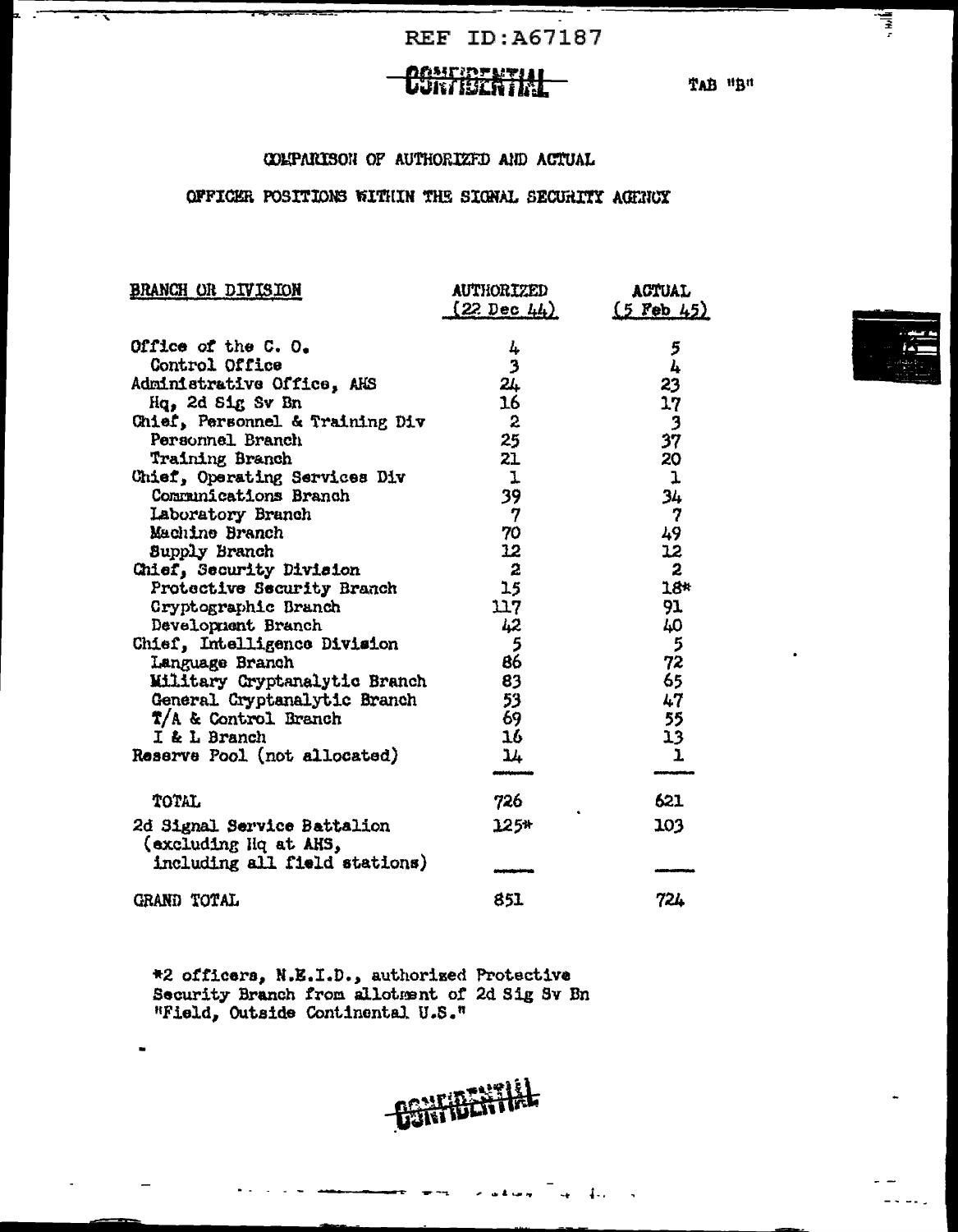**REF ID:A67187** 

∵

### **CONFIDENTIAL**

TAB "B"

### COLPARISON OF AUTHORIZED AND ACTUAL

### OFFICER POSITIONS WITHIN THE SIGNAL SECURITY AGENCY

| <b>BRANCH OR DIVISION</b>                            | <b>AUTHORIZED</b>      | <b>ACTUAL</b>    |  |  |
|------------------------------------------------------|------------------------|------------------|--|--|
|                                                      | $(22 \text{ Dec } 44)$ | $(5$ Feb 45)     |  |  |
| Office of the C.O.                                   | 4                      | 5                |  |  |
| Control Office                                       | 3                      | 4                |  |  |
| Administrative Office, AHS                           | 24                     | 23               |  |  |
| Hq, 2d Sig Sv Bn                                     | 16                     | 17               |  |  |
| Chief, Personnel & Training Div                      | $\mathbf{2}$           | 3                |  |  |
| Personnel Branch                                     | 25                     | 37               |  |  |
| Training Branch                                      | 21                     | 20               |  |  |
| Chief, Operating Services Div                        | $\mathbf{I}$           | $\mathbf{I}$     |  |  |
| Communications Branch                                | 39                     | 34               |  |  |
| Laboratory Branch                                    | $\boldsymbol{7}$       | 7                |  |  |
| Machine Branch                                       | 70                     | 49               |  |  |
| Supply Branch                                        | 12                     | 12               |  |  |
| Chief, Security Division                             | $\boldsymbol{z}$       | $\boldsymbol{z}$ |  |  |
| Protective Security Branch                           | 15                     | 18*              |  |  |
| Cryptographic Branch                                 | 117                    | 91               |  |  |
| Development Branch                                   | 42                     | 40               |  |  |
| Chief, Intelligence Division                         | 5                      | 5                |  |  |
| Language Branch                                      | 86                     | 72               |  |  |
| Military Cryptanalytic Branch                        | 83                     | 65               |  |  |
| General Cryptanalytic Branch                         | 53                     | 47               |  |  |
| T/A & Control Branch                                 | 69                     | 55               |  |  |
| I & L Branch                                         | 16                     | 13               |  |  |
| Reserve Pool (not allocated)                         | 14                     | $\mathbf{I}$     |  |  |
|                                                      |                        |                  |  |  |
| TOTAL                                                | 726                    | 621              |  |  |
| 2d Signal Service Battalion<br>(excluding Hq at AHS, | $125*$                 | 103              |  |  |
| including all field stations)                        |                        |                  |  |  |
| GRAND TOTAL                                          | 851                    | 724              |  |  |

\*2 officers, N.E.I.D., authorized Protective<br>Security Branch from allotment of 2d Sig Sv Bn<br>"Field, Outside Continental U.S."

**CONFIDENTIAL** 

سرسر کا بن

 $\mathbb{E}$